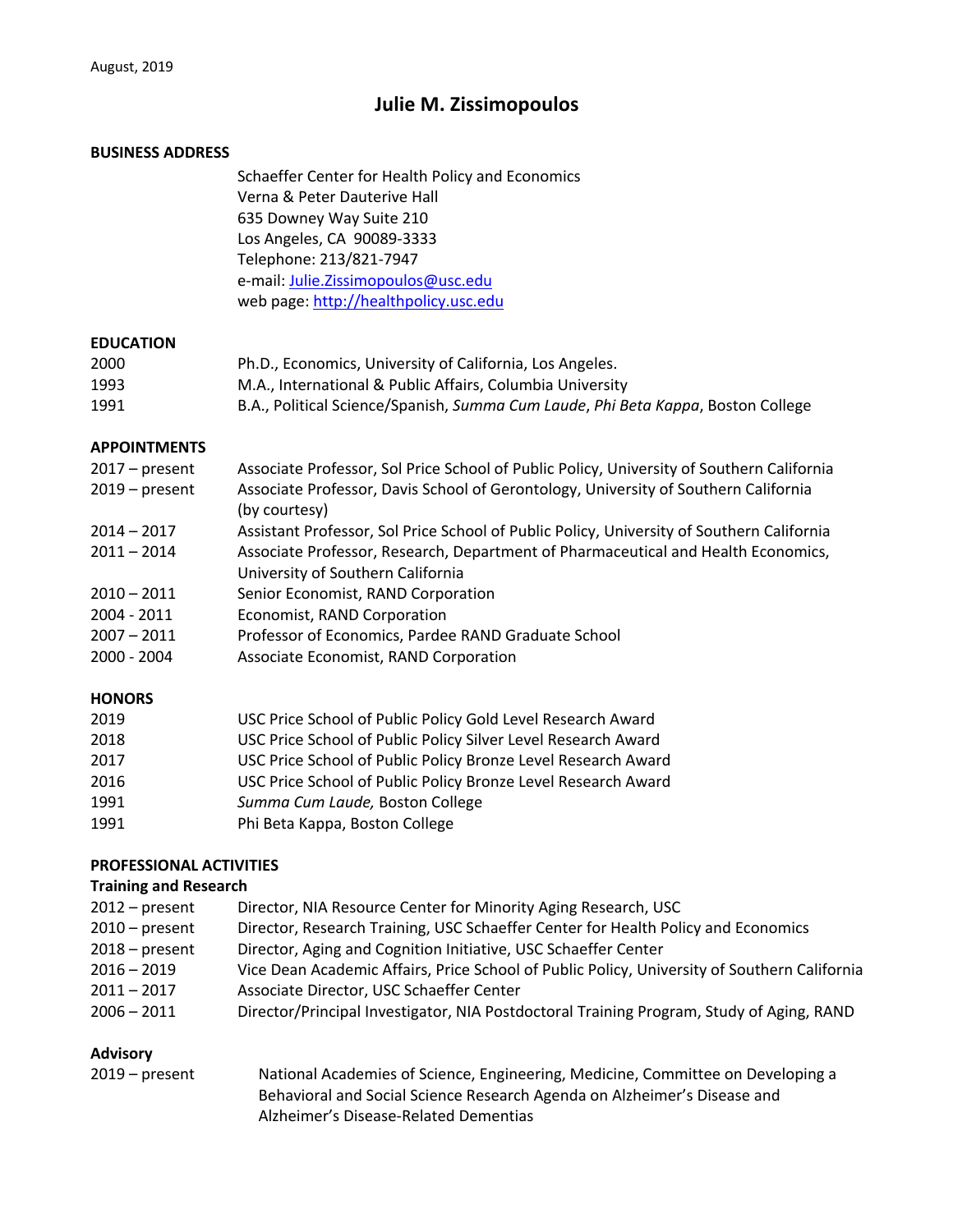# **Julie M. Zissimopoulos**

#### **BUSINESS ADDRESS**

Schaeffer Center for Health Policy and Economics Verna & Peter Dauterive Hall 635 Downey Way Suite 210 Los Angeles, CA 90089-3333 Telephone: 213/821-7947 e-mail: Julie.Zissimopoulos@usc.edu web page: http://healthpolicy.usc.edu

### **EDUCATION**

| 2000 | Ph.D., Economics, University of California, Los Angeles.                         |
|------|----------------------------------------------------------------------------------|
| 1993 | M.A., International & Public Affairs, Columbia University                        |
| 1991 | B.A., Political Science/Spanish, Summa Cum Laude, Phi Beta Kappa, Boston College |

#### **APPOINTMENTS**

| $2017$ – present | Associate Professor, Sol Price School of Public Policy, University of Southern California |
|------------------|-------------------------------------------------------------------------------------------|
| $2019$ – present | Associate Professor, Davis School of Gerontology, University of Southern California       |
|                  | (by courtesy)                                                                             |
| $2014 - 2017$    | Assistant Professor, Sol Price School of Public Policy, University of Southern California |
| $2011 - 2014$    | Associate Professor, Research, Department of Pharmaceutical and Health Economics,         |
|                  | University of Southern California                                                         |
| $2010 - 2011$    | Senior Economist, RAND Corporation                                                        |
| 2004 - 2011      | Economist, RAND Corporation                                                               |
| $2007 - 2011$    | Professor of Economics, Pardee RAND Graduate School                                       |
| 2000 - 2004      | Associate Economist, RAND Corporation                                                     |

#### **HONORS**

| 2019 | USC Price School of Public Policy Gold Level Research Award   |
|------|---------------------------------------------------------------|
| 2018 | USC Price School of Public Policy Silver Level Research Award |
| 2017 | USC Price School of Public Policy Bronze Level Research Award |
| 2016 | USC Price School of Public Policy Bronze Level Research Award |
| 1991 | Summa Cum Laude, Boston College                               |
| 1991 | Phi Beta Kappa, Boston College                                |

### **PROFESSIONAL ACTIVITIES**

#### **Training and Research**

| 2012 – present |
|----------------|
| 2010 – present |
| 2018 – present |
| 2016 – 2019    |
| 2011 – 2017    |
| 2006 – 2011    |
|                |

#### **Advisory**

| $2019$ – present | National Academies of Science, Engineering, Medicine, Committee on Developing a |
|------------------|---------------------------------------------------------------------------------|
|                  | Behavioral and Social Science Research Agenda on Alzheimer's Disease and        |
|                  | Alzheimer's Disease-Related Dementias                                           |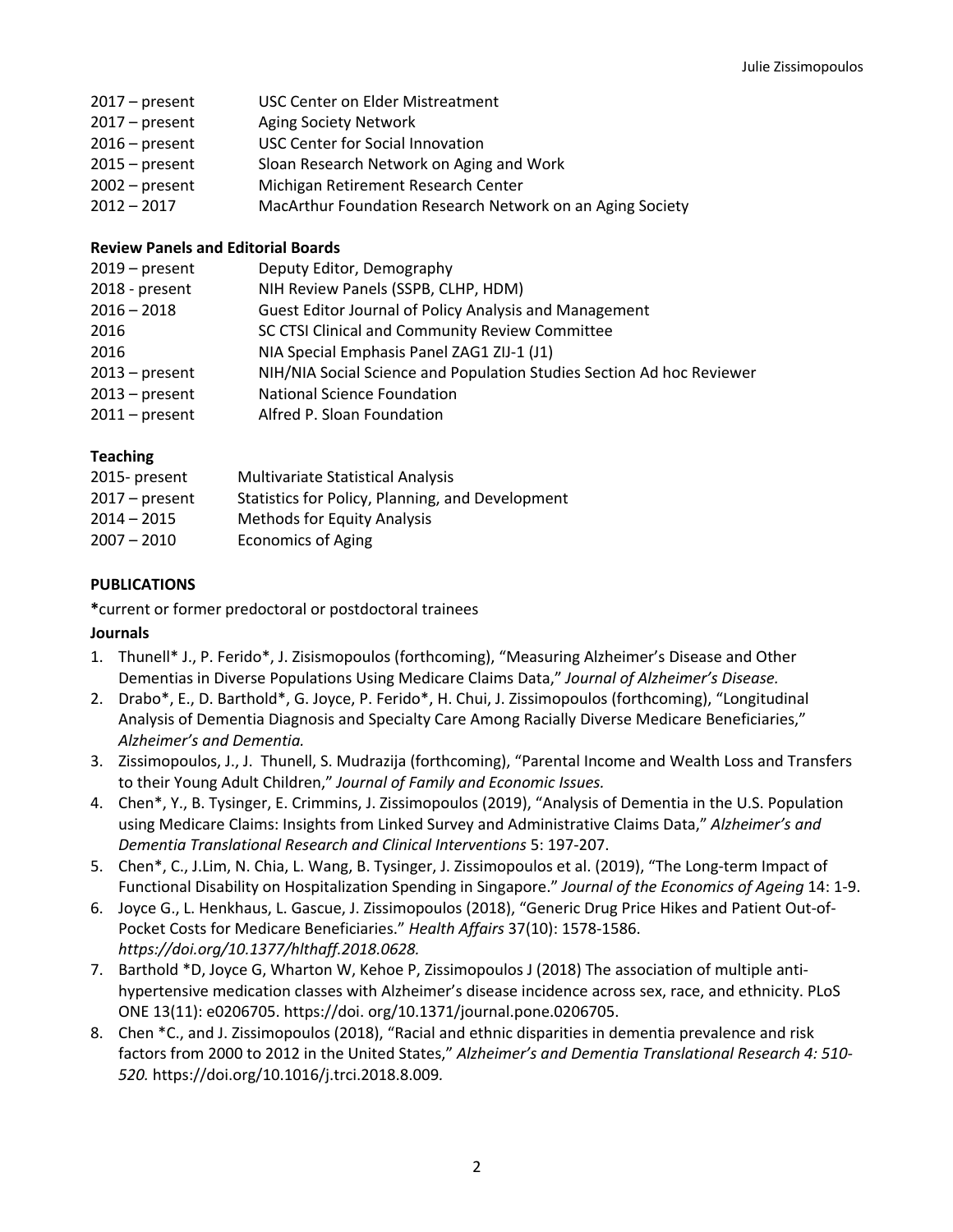- 2017 present USC Center on Elder Mistreatment
- 2017 present Aging Society Network
- 2016 present USC Center for Social Innovation
- 2015 present Sloan Research Network on Aging and Work
- 2002 present Michigan Retirement Research Center
- 2012 2017 MacArthur Foundation Research Network on an Aging Society

### **Review Panels and Editorial Boards**

| $2019$ – present | Deputy Editor, Demography                                             |
|------------------|-----------------------------------------------------------------------|
| 2018 - present   | NIH Review Panels (SSPB, CLHP, HDM)                                   |
| $2016 - 2018$    | <b>Guest Editor Journal of Policy Analysis and Management</b>         |
| 2016             | SC CTSI Clinical and Community Review Committee                       |
| 2016             | NIA Special Emphasis Panel ZAG1 ZIJ-1 (J1)                            |
| $2013$ – present | NIH/NIA Social Science and Population Studies Section Ad hoc Reviewer |
| $2013$ – present | <b>National Science Foundation</b>                                    |
| $2011$ – present | Alfred P. Sloan Foundation                                            |
|                  |                                                                       |

# **Teaching**

| 2015- present    | <b>Multivariate Statistical Analysis</b>         |
|------------------|--------------------------------------------------|
| $2017$ – present | Statistics for Policy, Planning, and Development |
| 2014 – 2015      | <b>Methods for Equity Analysis</b>               |
| $2007 - 2010$    | <b>Economics of Aging</b>                        |

### **PUBLICATIONS**

**\***current or former predoctoral or postdoctoral trainees

### **Journals**

- 1. Thunell\* J., P. Ferido\*, J. Zisismopoulos (forthcoming), "Measuring Alzheimer's Disease and Other Dementias in Diverse Populations Using Medicare Claims Data," *Journal of Alzheimer's Disease.*
- 2. Drabo\*, E., D. Barthold\*, G. Joyce, P. Ferido\*, H. Chui, J. Zissimopoulos (forthcoming), "Longitudinal Analysis of Dementia Diagnosis and Specialty Care Among Racially Diverse Medicare Beneficiaries," *Alzheimer's and Dementia.*
- 3. Zissimopoulos, J., J. Thunell, S. Mudrazija (forthcoming), "Parental Income and Wealth Loss and Transfers to their Young Adult Children," *Journal of Family and Economic Issues.*
- 4. Chen\*, Y., B. Tysinger, E. Crimmins, J. Zissimopoulos (2019), "Analysis of Dementia in the U.S. Population using Medicare Claims: Insights from Linked Survey and Administrative Claims Data," *Alzheimer's and Dementia Translational Research and Clinical Interventions* 5: 197-207.
- 5. Chen\*, C., J.Lim, N. Chia, L. Wang, B. Tysinger, J. Zissimopoulos et al. (2019), "The Long-term Impact of Functional Disability on Hospitalization Spending in Singapore." *Journal of the Economics of Ageing* 14: 1-9.
- 6. Joyce G., L. Henkhaus, L. Gascue, J. Zissimopoulos (2018), "Generic Drug Price Hikes and Patient Out-of-Pocket Costs for Medicare Beneficiaries." *Health Affairs* 37(10): 1578-1586. *https://doi.org/10.1377/hlthaff.2018.0628.*
- 7. Barthold \*D, Joyce G, Wharton W, Kehoe P, Zissimopoulos J (2018) The association of multiple antihypertensive medication classes with Alzheimer's disease incidence across sex, race, and ethnicity. PLoS ONE 13(11): e0206705. https://doi. org/10.1371/journal.pone.0206705.
- 8. Chen \*C., and J. Zissimopoulos (2018), "Racial and ethnic disparities in dementia prevalence and risk factors from 2000 to 2012 in the United States," *Alzheimer's and Dementia Translational Research 4: 510- 520.* https://doi.org/10.1016/j.trci.2018.8.009*.*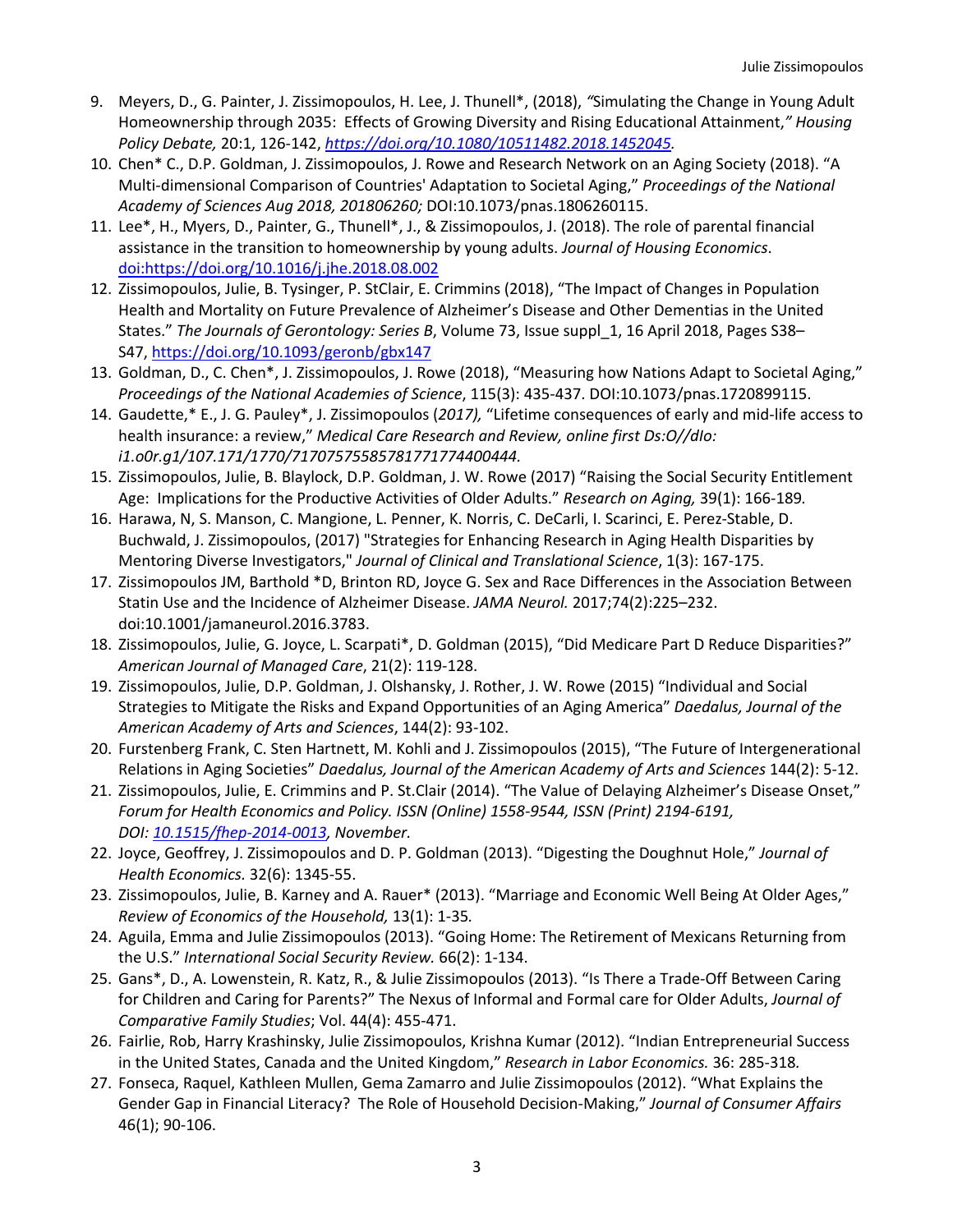- 9. Meyers, D., G. Painter, J. Zissimopoulos, H. Lee, J. Thunell\*, (2018), *"*Simulating the Change in Young Adult Homeownership through 2035: Effects of Growing Diversity and Rising Educational Attainment,*" Housing Policy Debate,* 20:1, 126-142, *https://doi.org/10.1080/10511482.2018.1452045.*
- 10. Chen\* C., D.P. Goldman, J. Zissimopoulos, J. Rowe and Research Network on an Aging Society (2018). "A Multi-dimensional Comparison of Countries' Adaptation to Societal Aging," *Proceedings of the National Academy of Sciences Aug 2018, 201806260;* DOI:10.1073/pnas.1806260115.
- 11. Lee\*, H., Myers, D., Painter, G., Thunell\*, J., & Zissimopoulos, J. (2018). The role of parental financial assistance in the transition to homeownership by young adults. *Journal of Housing Economics*. doi:https://doi.org/10.1016/j.jhe.2018.08.002
- 12. Zissimopoulos, Julie, B. Tysinger, P. StClair, E. Crimmins (2018), "The Impact of Changes in Population Health and Mortality on Future Prevalence of Alzheimer's Disease and Other Dementias in the United States." *The Journals of Gerontology: Series B*, Volume 73, Issue suppl\_1, 16 April 2018, Pages S38– S47, https://doi.org/10.1093/geronb/gbx147
- 13. Goldman, D., C. Chen\*, J. Zissimopoulos, J. Rowe (2018), "Measuring how Nations Adapt to Societal Aging," *Proceedings of the National Academies of Science*, 115(3): 435-437. DOI:10.1073/pnas.1720899115.
- 14. Gaudette,\* E., J. G. Pauley\*, J. Zissimopoulos (*2017),* "Lifetime consequences of early and mid-life access to health insurance: a review," *Medical Care Research and Review, online first Ds:O//dIo: i1.o0r.g1/107.171/1770/71707575585781771774400444.*
- 15. Zissimopoulos, Julie, B. Blaylock, D.P. Goldman, J. W. Rowe (2017) "Raising the Social Security Entitlement Age: Implications for the Productive Activities of Older Adults." *Research on Aging,* 39(1): 166-189*.*
- 16. Harawa, N, S. Manson, C. Mangione, L. Penner, K. Norris, C. DeCarli, I. Scarinci, E. Perez-Stable, D. Buchwald, J. Zissimopoulos, (2017) "Strategies for Enhancing Research in Aging Health Disparities by Mentoring Diverse Investigators," *Journal of Clinical and Translational Science*, 1(3): 167-175.
- 17. Zissimopoulos JM, Barthold \*D, Brinton RD, Joyce G. Sex and Race Differences in the Association Between Statin Use and the Incidence of Alzheimer Disease. *JAMA Neurol.* 2017;74(2):225–232. doi:10.1001/jamaneurol.2016.3783.
- 18. Zissimopoulos, Julie, G. Joyce, L. Scarpati\*, D. Goldman (2015), "Did Medicare Part D Reduce Disparities?" *American Journal of Managed Care*, 21(2): 119-128.
- 19. Zissimopoulos, Julie, D.P. Goldman, J. Olshansky, J. Rother, J. W. Rowe (2015) "Individual and Social Strategies to Mitigate the Risks and Expand Opportunities of an Aging America" *Daedalus, Journal of the American Academy of Arts and Sciences*, 144(2): 93-102.
- 20. Furstenberg Frank, C. Sten Hartnett, M. Kohli and J. Zissimopoulos (2015), "The Future of Intergenerational Relations in Aging Societies" *Daedalus, Journal of the American Academy of Arts and Sciences* 144(2): 5-12.
- 21. Zissimopoulos, Julie, E. Crimmins and P. St.Clair (2014). "The Value of Delaying Alzheimer's Disease Onset," *Forum for Health Economics and Policy. ISSN (Online) 1558-9544, ISSN (Print) 2194-6191, DOI: 10.1515/fhep-2014-0013, November.*
- 22. Joyce, Geoffrey, J. Zissimopoulos and D. P. Goldman (2013). "Digesting the Doughnut Hole," *Journal of Health Economics.* 32(6): 1345-55.
- 23. Zissimopoulos, Julie, B. Karney and A. Rauer\* (2013). "Marriage and Economic Well Being At Older Ages," *Review of Economics of the Household,* 13(1): 1-35*.*
- 24. Aguila, Emma and Julie Zissimopoulos (2013). "Going Home: The Retirement of Mexicans Returning from the U.S." *International Social Security Review.* 66(2): 1-134.
- 25. Gans\*, D., A. Lowenstein, R. Katz, R., & Julie Zissimopoulos (2013). "Is There a Trade-Off Between Caring for Children and Caring for Parents?" The Nexus of Informal and Formal care for Older Adults, *Journal of Comparative Family Studies*; Vol. 44(4): 455-471.
- 26. Fairlie, Rob, Harry Krashinsky, Julie Zissimopoulos, Krishna Kumar (2012). "Indian Entrepreneurial Success in the United States, Canada and the United Kingdom," *Research in Labor Economics.* 36: 285-318*.*
- 27. Fonseca, Raquel, Kathleen Mullen, Gema Zamarro and Julie Zissimopoulos (2012). "What Explains the Gender Gap in Financial Literacy? The Role of Household Decision-Making," *Journal of Consumer Affairs*  46(1); 90-106.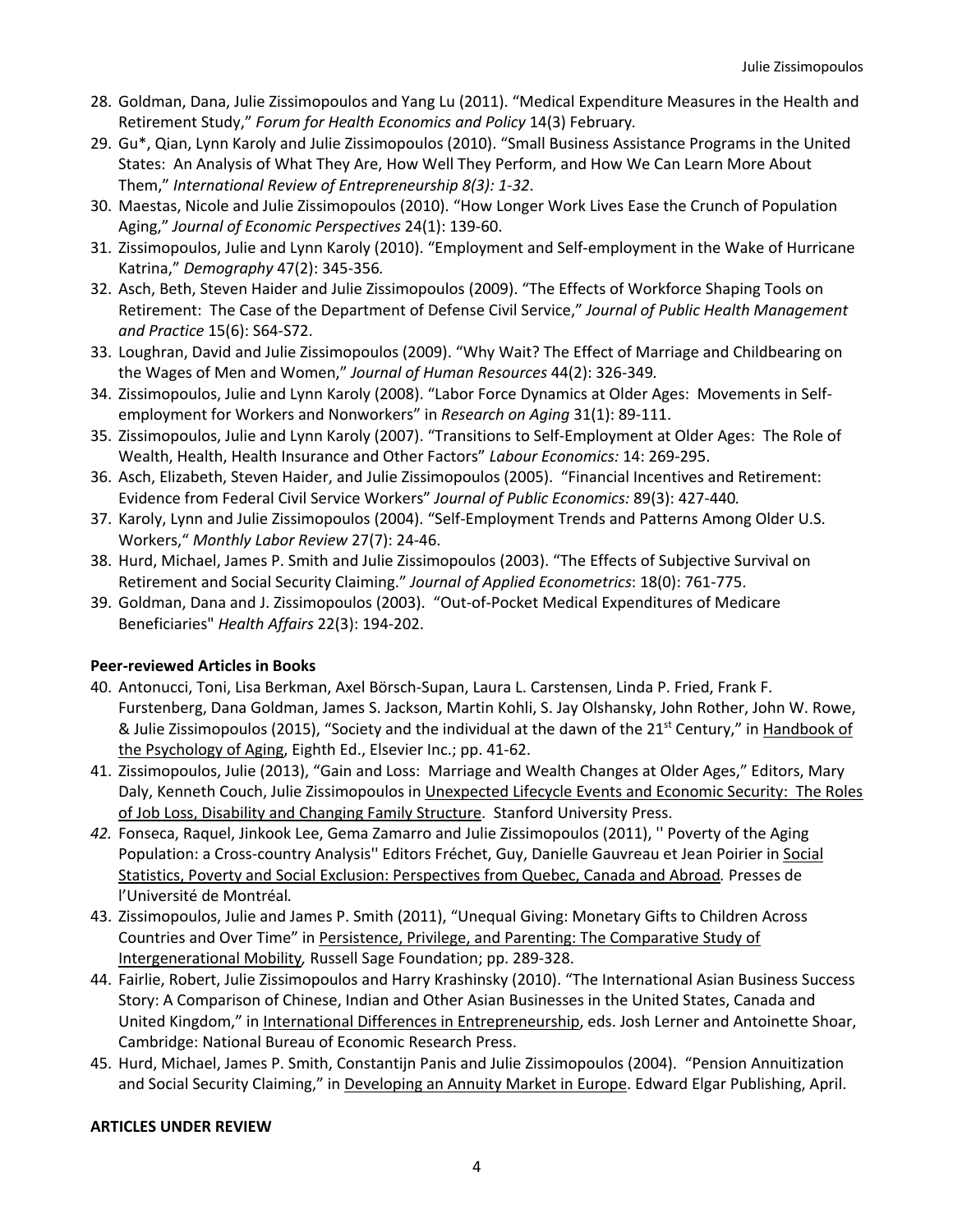- 28. Goldman, Dana, Julie Zissimopoulos and Yang Lu (2011). "Medical Expenditure Measures in the Health and Retirement Study," *Forum for Health Economics and Policy* 14(3) February*.*
- 29. Gu\*, Qian, Lynn Karoly and Julie Zissimopoulos (2010). "Small Business Assistance Programs in the United States: An Analysis of What They Are, How Well They Perform, and How We Can Learn More About Them," *International Review of Entrepreneurship 8(3): 1-32*.
- 30. Maestas, Nicole and Julie Zissimopoulos (2010). "How Longer Work Lives Ease the Crunch of Population Aging," *Journal of Economic Perspectives* 24(1): 139-60.
- 31. Zissimopoulos, Julie and Lynn Karoly (2010). "Employment and Self-employment in the Wake of Hurricane Katrina," *Demography* 47(2): 345-356*.*
- 32. Asch, Beth, Steven Haider and Julie Zissimopoulos (2009). "The Effects of Workforce Shaping Tools on Retirement: The Case of the Department of Defense Civil Service," *Journal of Public Health Management and Practice* 15(6): S64-S72.
- 33. Loughran, David and Julie Zissimopoulos (2009). "Why Wait? The Effect of Marriage and Childbearing on the Wages of Men and Women," *Journal of Human Resources* 44(2): 326-349*.*
- 34. Zissimopoulos, Julie and Lynn Karoly (2008). "Labor Force Dynamics at Older Ages: Movements in Selfemployment for Workers and Nonworkers" in *Research on Aging* 31(1): 89-111.
- 35. Zissimopoulos, Julie and Lynn Karoly (2007). "Transitions to Self-Employment at Older Ages: The Role of Wealth, Health, Health Insurance and Other Factors" *Labour Economics:* 14: 269-295.
- 36. Asch, Elizabeth, Steven Haider, and Julie Zissimopoulos (2005). "Financial Incentives and Retirement: Evidence from Federal Civil Service Workers" *Journal of Public Economics:* 89(3): 427-440*.*
- 37. Karoly, Lynn and Julie Zissimopoulos (2004). "Self-Employment Trends and Patterns Among Older U.S. Workers," *Monthly Labor Review* 27(7): 24-46.
- 38. Hurd, Michael, James P. Smith and Julie Zissimopoulos (2003). "The Effects of Subjective Survival on Retirement and Social Security Claiming." *Journal of Applied Econometrics*: 18(0): 761-775.
- 39. Goldman, Dana and J. Zissimopoulos (2003). "Out-of-Pocket Medical Expenditures of Medicare Beneficiaries" *Health Affairs* 22(3): 194-202.

### **Peer-reviewed Articles in Books**

- 40. Antonucci, Toni, Lisa Berkman, Axel Börsch-Supan, Laura L. Carstensen, Linda P. Fried, Frank F. Furstenberg, Dana Goldman, James S. Jackson, Martin Kohli, S. Jay Olshansky, John Rother, John W. Rowe, & Julie Zissimopoulos (2015), "Society and the individual at the dawn of the 21<sup>st</sup> Century," in Handbook of the Psychology of Aging, Eighth Ed., Elsevier Inc.; pp. 41-62.
- 41. Zissimopoulos, Julie (2013), "Gain and Loss: Marriage and Wealth Changes at Older Ages," Editors, Mary Daly, Kenneth Couch, Julie Zissimopoulos in Unexpected Lifecycle Events and Economic Security: The Roles of Job Loss, Disability and Changing Family Structure. Stanford University Press.
- *42.* Fonseca, Raquel, Jinkook Lee, Gema Zamarro and Julie Zissimopoulos (2011), '' Poverty of the Aging Population: a Cross-country Analysis" Editors Fréchet, Guy, Danielle Gauvreau et Jean Poirier in Social Statistics, Poverty and Social Exclusion: Perspectives from Quebec, Canada and Abroad*.* Presses de l'Université de Montréal*.*
- 43. Zissimopoulos, Julie and James P. Smith (2011), "Unequal Giving: Monetary Gifts to Children Across Countries and Over Time" in Persistence, Privilege, and Parenting: The Comparative Study of Intergenerational Mobility*,* Russell Sage Foundation; pp. 289-328.
- 44. Fairlie, Robert, Julie Zissimopoulos and Harry Krashinsky (2010). "The International Asian Business Success Story: A Comparison of Chinese, Indian and Other Asian Businesses in the United States, Canada and United Kingdom," in International Differences in Entrepreneurship, eds. Josh Lerner and Antoinette Shoar, Cambridge: National Bureau of Economic Research Press.
- 45. Hurd, Michael, James P. Smith, Constantijn Panis and Julie Zissimopoulos (2004). "Pension Annuitization and Social Security Claiming," in Developing an Annuity Market in Europe. Edward Elgar Publishing, April.

#### **ARTICLES UNDER REVIEW**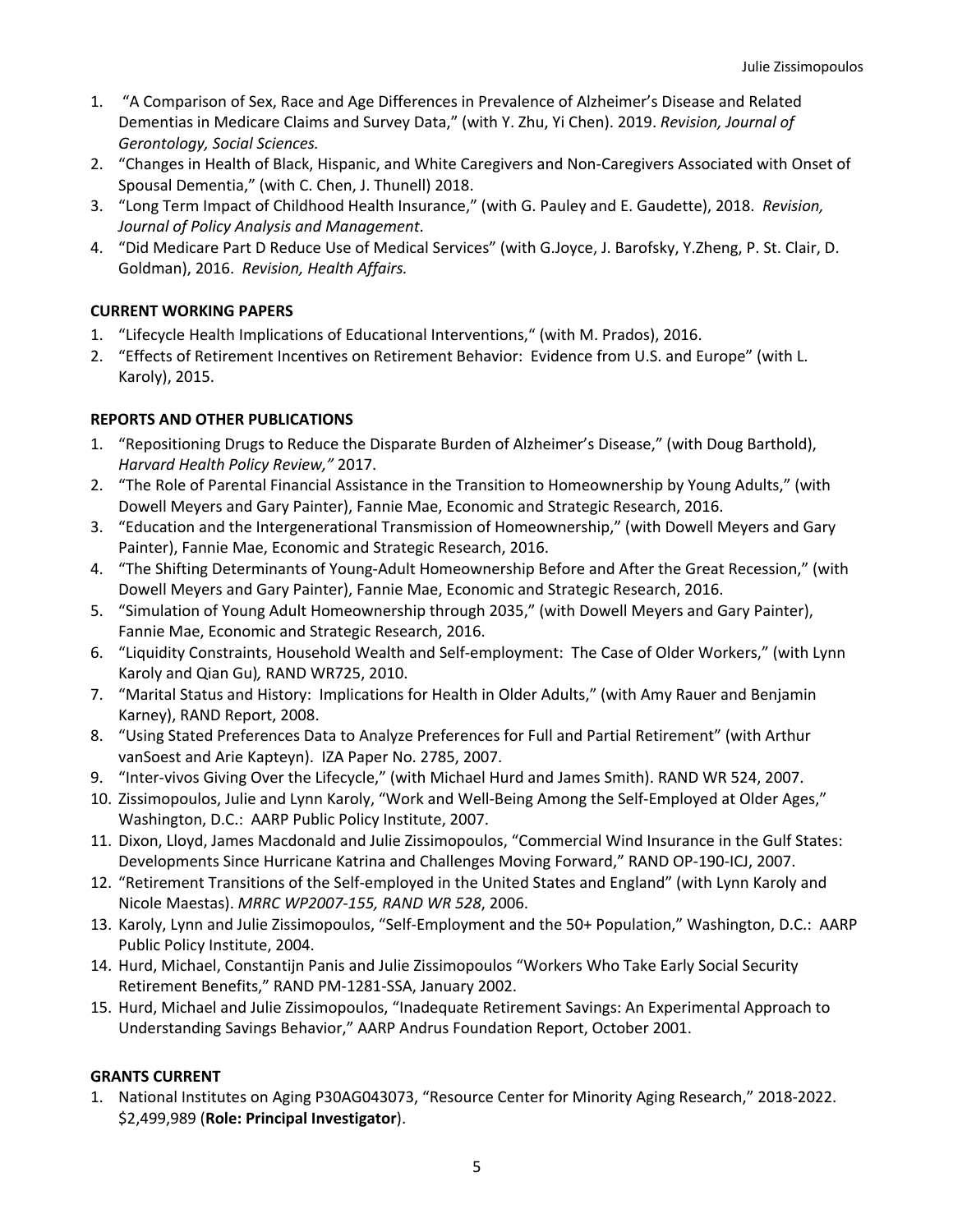- 1. "A Comparison of Sex, Race and Age Differences in Prevalence of Alzheimer's Disease and Related Dementias in Medicare Claims and Survey Data," (with Y. Zhu, Yi Chen). 2019. *Revision, Journal of Gerontology, Social Sciences.*
- 2. "Changes in Health of Black, Hispanic, and White Caregivers and Non-Caregivers Associated with Onset of Spousal Dementia," (with C. Chen, J. Thunell) 2018.
- 3. "Long Term Impact of Childhood Health Insurance," (with G. Pauley and E. Gaudette), 2018. *Revision, Journal of Policy Analysis and Management*.
- 4. "Did Medicare Part D Reduce Use of Medical Services" (with G.Joyce, J. Barofsky, Y.Zheng, P. St. Clair, D. Goldman), 2016. *Revision, Health Affairs.*

### **CURRENT WORKING PAPERS**

- 1. "Lifecycle Health Implications of Educational Interventions," (with M. Prados), 2016.
- 2. "Effects of Retirement Incentives on Retirement Behavior: Evidence from U.S. and Europe" (with L. Karoly), 2015.

# **REPORTS AND OTHER PUBLICATIONS**

- 1. "Repositioning Drugs to Reduce the Disparate Burden of Alzheimer's Disease," (with Doug Barthold), *Harvard Health Policy Review,"* 2017.
- 2. "The Role of Parental Financial Assistance in the Transition to Homeownership by Young Adults," (with Dowell Meyers and Gary Painter), Fannie Mae, Economic and Strategic Research, 2016.
- 3. "Education and the Intergenerational Transmission of Homeownership," (with Dowell Meyers and Gary Painter), Fannie Mae, Economic and Strategic Research, 2016.
- 4. "The Shifting Determinants of Young-Adult Homeownership Before and After the Great Recession," (with Dowell Meyers and Gary Painter), Fannie Mae, Economic and Strategic Research, 2016.
- 5. "Simulation of Young Adult Homeownership through 2035," (with Dowell Meyers and Gary Painter), Fannie Mae, Economic and Strategic Research, 2016.
- 6. "Liquidity Constraints, Household Wealth and Self-employment: The Case of Older Workers," (with Lynn Karoly and Qian Gu)*,* RAND WR725, 2010.
- 7. "Marital Status and History: Implications for Health in Older Adults," (with Amy Rauer and Benjamin Karney), RAND Report, 2008.
- 8. "Using Stated Preferences Data to Analyze Preferences for Full and Partial Retirement" (with Arthur vanSoest and Arie Kapteyn). IZA Paper No. 2785, 2007.
- 9. "Inter-vivos Giving Over the Lifecycle," (with Michael Hurd and James Smith). RAND WR 524, 2007.
- 10. Zissimopoulos, Julie and Lynn Karoly, "Work and Well-Being Among the Self-Employed at Older Ages," Washington, D.C.: AARP Public Policy Institute, 2007.
- 11. Dixon, Lloyd, James Macdonald and Julie Zissimopoulos, "Commercial Wind Insurance in the Gulf States: Developments Since Hurricane Katrina and Challenges Moving Forward," RAND OP-190-ICJ, 2007.
- 12. "Retirement Transitions of the Self-employed in the United States and England" (with Lynn Karoly and Nicole Maestas). *MRRC WP2007-155, RAND WR 528*, 2006.
- 13. Karoly, Lynn and Julie Zissimopoulos, "Self-Employment and the 50+ Population," Washington, D.C.: AARP Public Policy Institute, 2004.
- 14. Hurd, Michael, Constantijn Panis and Julie Zissimopoulos "Workers Who Take Early Social Security Retirement Benefits," RAND PM-1281-SSA, January 2002.
- 15. Hurd, Michael and Julie Zissimopoulos, "Inadequate Retirement Savings: An Experimental Approach to Understanding Savings Behavior," AARP Andrus Foundation Report, October 2001.

### **GRANTS CURRENT**

1. National Institutes on Aging P30AG043073, "Resource Center for Minority Aging Research," 2018-2022. \$2,499,989 (**Role: Principal Investigator**).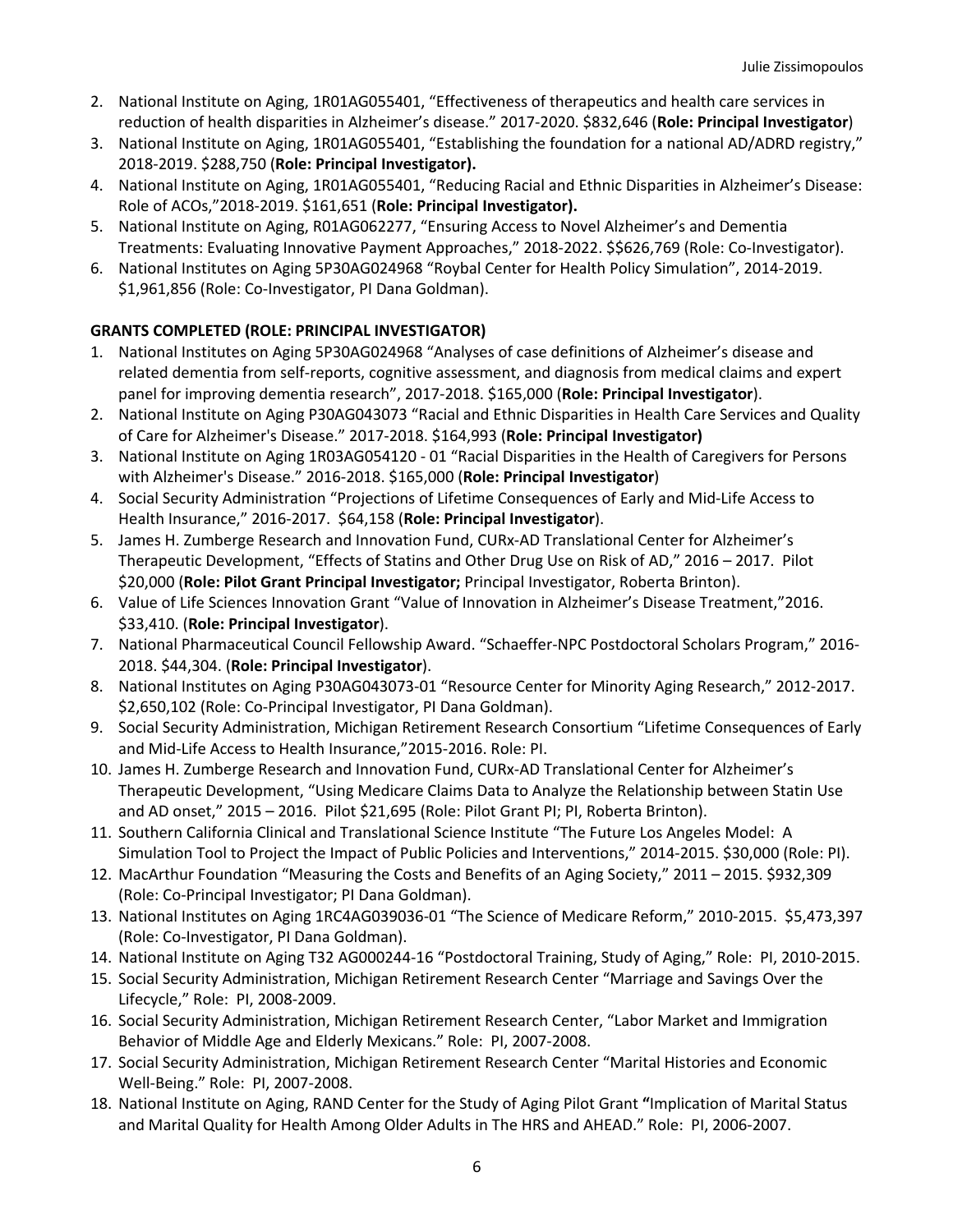- 2. National Institute on Aging, 1R01AG055401, "Effectiveness of therapeutics and health care services in reduction of health disparities in Alzheimer's disease." 2017-2020. \$832,646 (**Role: Principal Investigator**)
- 3. National Institute on Aging, 1R01AG055401, "Establishing the foundation for a national AD/ADRD registry," 2018-2019. \$288,750 (**Role: Principal Investigator).**
- 4. National Institute on Aging, 1R01AG055401, "Reducing Racial and Ethnic Disparities in Alzheimer's Disease: Role of ACOs,"2018-2019. \$161,651 (**Role: Principal Investigator).**
- 5. National Institute on Aging, R01AG062277, "Ensuring Access to Novel Alzheimer's and Dementia Treatments: Evaluating Innovative Payment Approaches," 2018-2022. \$\$626,769 (Role: Co-Investigator).
- 6. National Institutes on Aging 5P30AG024968 "Roybal Center for Health Policy Simulation", 2014-2019. \$1,961,856 (Role: Co-Investigator, PI Dana Goldman).

# **GRANTS COMPLETED (ROLE: PRINCIPAL INVESTIGATOR)**

- 1. National Institutes on Aging 5P30AG024968 "Analyses of case definitions of Alzheimer's disease and related dementia from self-reports, cognitive assessment, and diagnosis from medical claims and expert panel for improving dementia research", 2017-2018. \$165,000 (**Role: Principal Investigator**).
- 2. National Institute on Aging P30AG043073 "Racial and Ethnic Disparities in Health Care Services and Quality of Care for Alzheimer's Disease." 2017-2018. \$164,993 (**Role: Principal Investigator)**
- 3. National Institute on Aging 1R03AG054120 01 "Racial Disparities in the Health of Caregivers for Persons with Alzheimer's Disease." 2016-2018. \$165,000 (**Role: Principal Investigator**)
- 4. Social Security Administration "Projections of Lifetime Consequences of Early and Mid-Life Access to Health Insurance," 2016-2017. \$64,158 (**Role: Principal Investigator**).
- 5. James H. Zumberge Research and Innovation Fund, CURx-AD Translational Center for Alzheimer's Therapeutic Development, "Effects of Statins and Other Drug Use on Risk of AD," 2016 – 2017. Pilot \$20,000 (**Role: Pilot Grant Principal Investigator;** Principal Investigator, Roberta Brinton).
- 6. Value of Life Sciences Innovation Grant "Value of Innovation in Alzheimer's Disease Treatment,"2016. \$33,410. (**Role: Principal Investigator**).
- 7. National Pharmaceutical Council Fellowship Award. "Schaeffer-NPC Postdoctoral Scholars Program," 2016- 2018. \$44,304. (**Role: Principal Investigator**).
- 8. National Institutes on Aging P30AG043073-01 "Resource Center for Minority Aging Research," 2012-2017. \$2,650,102 (Role: Co-Principal Investigator, PI Dana Goldman).
- 9. Social Security Administration, Michigan Retirement Research Consortium "Lifetime Consequences of Early and Mid-Life Access to Health Insurance,"2015-2016. Role: PI.
- 10. James H. Zumberge Research and Innovation Fund, CURx-AD Translational Center for Alzheimer's Therapeutic Development, "Using Medicare Claims Data to Analyze the Relationship between Statin Use and AD onset," 2015 – 2016. Pilot \$21,695 (Role: Pilot Grant PI; PI, Roberta Brinton).
- 11. Southern California Clinical and Translational Science Institute "The Future Los Angeles Model: A Simulation Tool to Project the Impact of Public Policies and Interventions," 2014-2015. \$30,000 (Role: PI).
- 12. MacArthur Foundation "Measuring the Costs and Benefits of an Aging Society," 2011 2015. \$932,309 (Role: Co-Principal Investigator; PI Dana Goldman).
- 13. National Institutes on Aging 1RC4AG039036-01 "The Science of Medicare Reform," 2010-2015. \$5,473,397 (Role: Co-Investigator, PI Dana Goldman).
- 14. National Institute on Aging T32 AG000244-16 "Postdoctoral Training, Study of Aging," Role: PI, 2010-2015.
- 15. Social Security Administration, Michigan Retirement Research Center "Marriage and Savings Over the Lifecycle," Role: PI, 2008-2009.
- 16. Social Security Administration, Michigan Retirement Research Center, "Labor Market and Immigration Behavior of Middle Age and Elderly Mexicans." Role: PI, 2007-2008.
- 17. Social Security Administration, Michigan Retirement Research Center "Marital Histories and Economic Well-Being." Role: PI, 2007-2008.
- 18. National Institute on Aging, RAND Center for the Study of Aging Pilot Grant **"**Implication of Marital Status and Marital Quality for Health Among Older Adults in The HRS and AHEAD." Role: PI, 2006-2007.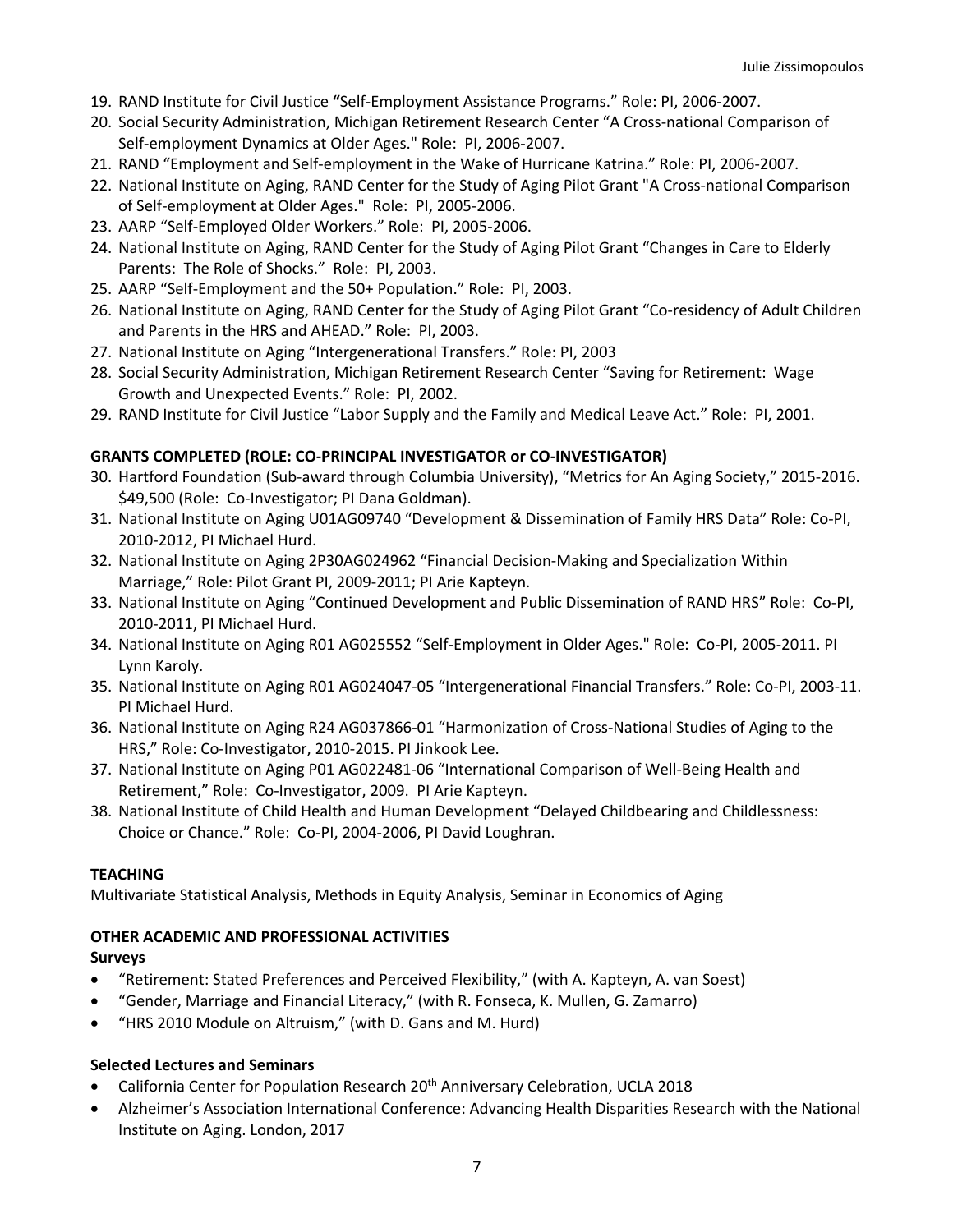- 19. RAND Institute for Civil Justice **"**Self-Employment Assistance Programs." Role: PI, 2006-2007.
- 20. Social Security Administration, Michigan Retirement Research Center "A Cross-national Comparison of Self-employment Dynamics at Older Ages." Role: PI, 2006-2007.
- 21. RAND "Employment and Self-employment in the Wake of Hurricane Katrina." Role: PI, 2006-2007.
- 22. National Institute on Aging, RAND Center for the Study of Aging Pilot Grant "A Cross-national Comparison of Self-employment at Older Ages." Role: PI, 2005-2006.
- 23. AARP "Self-Employed Older Workers." Role: PI, 2005-2006.
- 24. National Institute on Aging, RAND Center for the Study of Aging Pilot Grant "Changes in Care to Elderly Parents: The Role of Shocks." Role: PI, 2003.
- 25. AARP "Self-Employment and the 50+ Population." Role: PI, 2003.
- 26. National Institute on Aging, RAND Center for the Study of Aging Pilot Grant "Co-residency of Adult Children and Parents in the HRS and AHEAD." Role: PI, 2003.
- 27. National Institute on Aging "Intergenerational Transfers." Role: PI, 2003
- 28. Social Security Administration, Michigan Retirement Research Center "Saving for Retirement: Wage Growth and Unexpected Events." Role: PI, 2002.
- 29. RAND Institute for Civil Justice "Labor Supply and the Family and Medical Leave Act." Role: PI, 2001.

### **GRANTS COMPLETED (ROLE: CO-PRINCIPAL INVESTIGATOR or CO-INVESTIGATOR)**

- 30. Hartford Foundation (Sub-award through Columbia University), "Metrics for An Aging Society," 2015-2016. \$49,500 (Role: Co-Investigator; PI Dana Goldman).
- 31. National Institute on Aging U01AG09740 "Development & Dissemination of Family HRS Data" Role: Co-PI, 2010-2012, PI Michael Hurd.
- 32. National Institute on Aging 2P30AG024962 "Financial Decision-Making and Specialization Within Marriage," Role: Pilot Grant PI, 2009-2011; PI Arie Kapteyn.
- 33. National Institute on Aging "Continued Development and Public Dissemination of RAND HRS" Role: Co-PI, 2010-2011, PI Michael Hurd.
- 34. National Institute on Aging R01 AG025552 "Self-Employment in Older Ages." Role: Co-PI, 2005-2011. PI Lynn Karoly.
- 35. National Institute on Aging R01 AG024047-05 "Intergenerational Financial Transfers." Role: Co-PI, 2003-11. PI Michael Hurd.
- 36. National Institute on Aging R24 AG037866-01 "Harmonization of Cross-National Studies of Aging to the HRS," Role: Co-Investigator, 2010-2015. PI Jinkook Lee.
- 37. National Institute on Aging P01 AG022481-06 "International Comparison of Well-Being Health and Retirement," Role: Co-Investigator, 2009. PI Arie Kapteyn.
- 38. National Institute of Child Health and Human Development "Delayed Childbearing and Childlessness: Choice or Chance." Role: Co-PI, 2004-2006, PI David Loughran.

### **TEACHING**

Multivariate Statistical Analysis, Methods in Equity Analysis, Seminar in Economics of Aging

### **OTHER ACADEMIC AND PROFESSIONAL ACTIVITIES**

### **Surveys**

- "Retirement: Stated Preferences and Perceived Flexibility," (with A. Kapteyn, A. van Soest)
- "Gender, Marriage and Financial Literacy," (with R. Fonseca, K. Mullen, G. Zamarro)
- "HRS 2010 Module on Altruism," (with D. Gans and M. Hurd)

### **Selected Lectures and Seminars**

- California Center for Population Research 20<sup>th</sup> Anniversary Celebration, UCLA 2018
- Alzheimer's Association International Conference: Advancing Health Disparities Research with the National Institute on Aging. London, 2017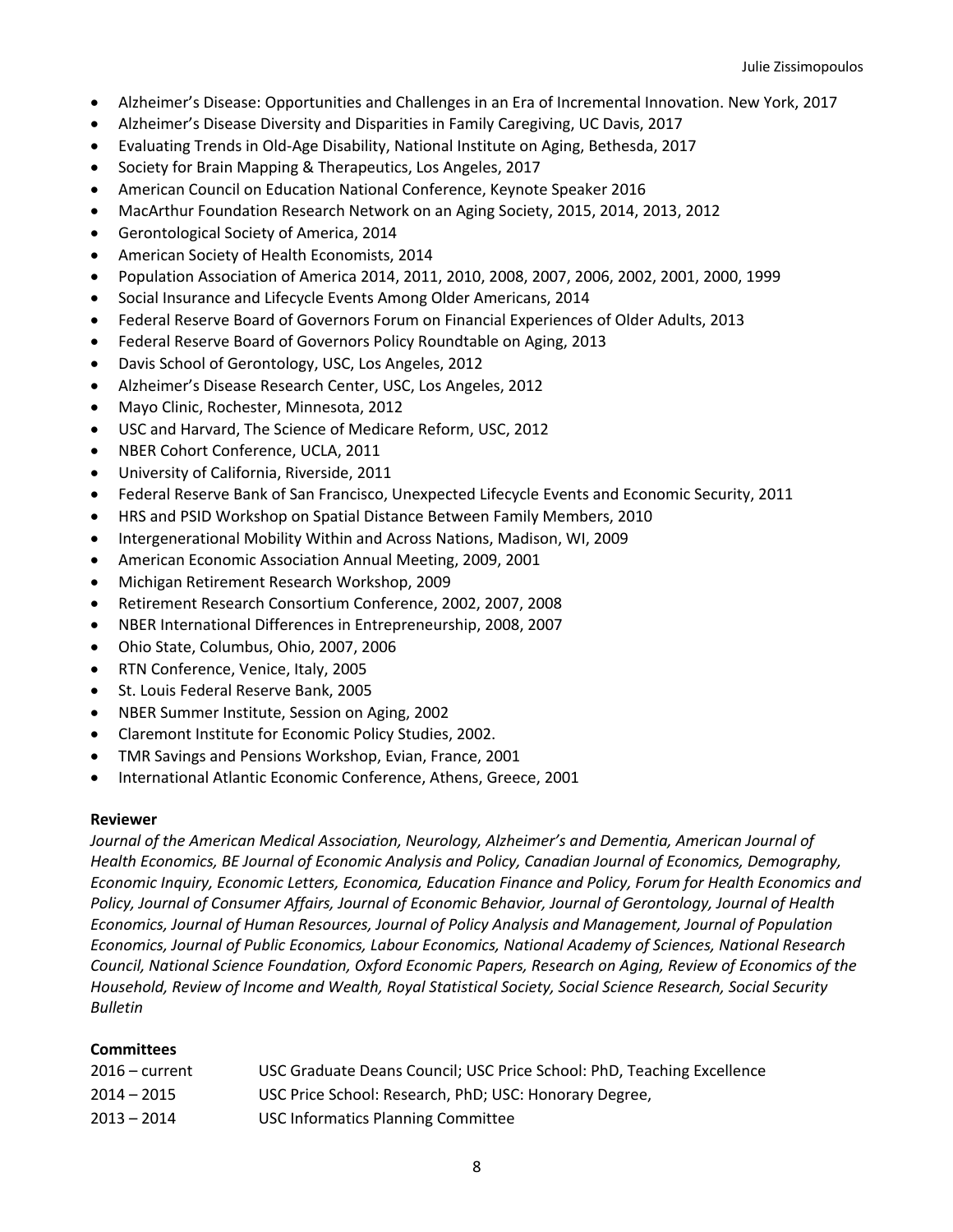- Alzheimer's Disease: Opportunities and Challenges in an Era of Incremental Innovation. New York, 2017
- Alzheimer's Disease Diversity and Disparities in Family Caregiving, UC Davis, 2017
- Evaluating Trends in Old-Age Disability, National Institute on Aging, Bethesda, 2017
- Society for Brain Mapping & Therapeutics, Los Angeles, 2017
- American Council on Education National Conference, Keynote Speaker 2016
- MacArthur Foundation Research Network on an Aging Society, 2015, 2014, 2013, 2012
- Gerontological Society of America, 2014
- American Society of Health Economists, 2014
- Population Association of America 2014, 2011, 2010, 2008, 2007, 2006, 2002, 2001, 2000, 1999
- Social Insurance and Lifecycle Events Among Older Americans, 2014
- Federal Reserve Board of Governors Forum on Financial Experiences of Older Adults, 2013
- Federal Reserve Board of Governors Policy Roundtable on Aging, 2013
- Davis School of Gerontology, USC, Los Angeles, 2012
- Alzheimer's Disease Research Center, USC, Los Angeles, 2012
- Mayo Clinic, Rochester, Minnesota, 2012
- USC and Harvard, The Science of Medicare Reform, USC, 2012
- NBER Cohort Conference, UCLA, 2011
- University of California, Riverside, 2011
- Federal Reserve Bank of San Francisco, Unexpected Lifecycle Events and Economic Security, 2011
- HRS and PSID Workshop on Spatial Distance Between Family Members, 2010
- Intergenerational Mobility Within and Across Nations, Madison, WI, 2009
- American Economic Association Annual Meeting, 2009, 2001
- Michigan Retirement Research Workshop, 2009
- Retirement Research Consortium Conference, 2002, 2007, 2008
- NBER International Differences in Entrepreneurship, 2008, 2007
- Ohio State, Columbus, Ohio, 2007, 2006
- RTN Conference, Venice, Italy, 2005
- St. Louis Federal Reserve Bank, 2005
- NBER Summer Institute, Session on Aging, 2002
- Claremont Institute for Economic Policy Studies, 2002.
- TMR Savings and Pensions Workshop, Evian, France, 2001
- International Atlantic Economic Conference, Athens, Greece, 2001

### **Reviewer**

*Journal of the American Medical Association, Neurology, Alzheimer's and Dementia, American Journal of Health Economics, BE Journal of Economic Analysis and Policy, Canadian Journal of Economics, Demography, Economic Inquiry, Economic Letters, Economica, Education Finance and Policy, Forum for Health Economics and Policy, Journal of Consumer Affairs, Journal of Economic Behavior, Journal of Gerontology, Journal of Health Economics, Journal of Human Resources, Journal of Policy Analysis and Management, Journal of Population Economics, Journal of Public Economics, Labour Economics, National Academy of Sciences, National Research Council, National Science Foundation, Oxford Economic Papers, Research on Aging, Review of Economics of the Household, Review of Income and Wealth, Royal Statistical Society, Social Science Research, Social Security Bulletin*

### **Committees**

| $2016$ – current | USC Graduate Deans Council; USC Price School: PhD, Teaching Excellence |
|------------------|------------------------------------------------------------------------|
| $2014 - 2015$    | USC Price School: Research, PhD; USC: Honorary Degree,                 |
| $2013 - 2014$    | USC Informatics Planning Committee                                     |